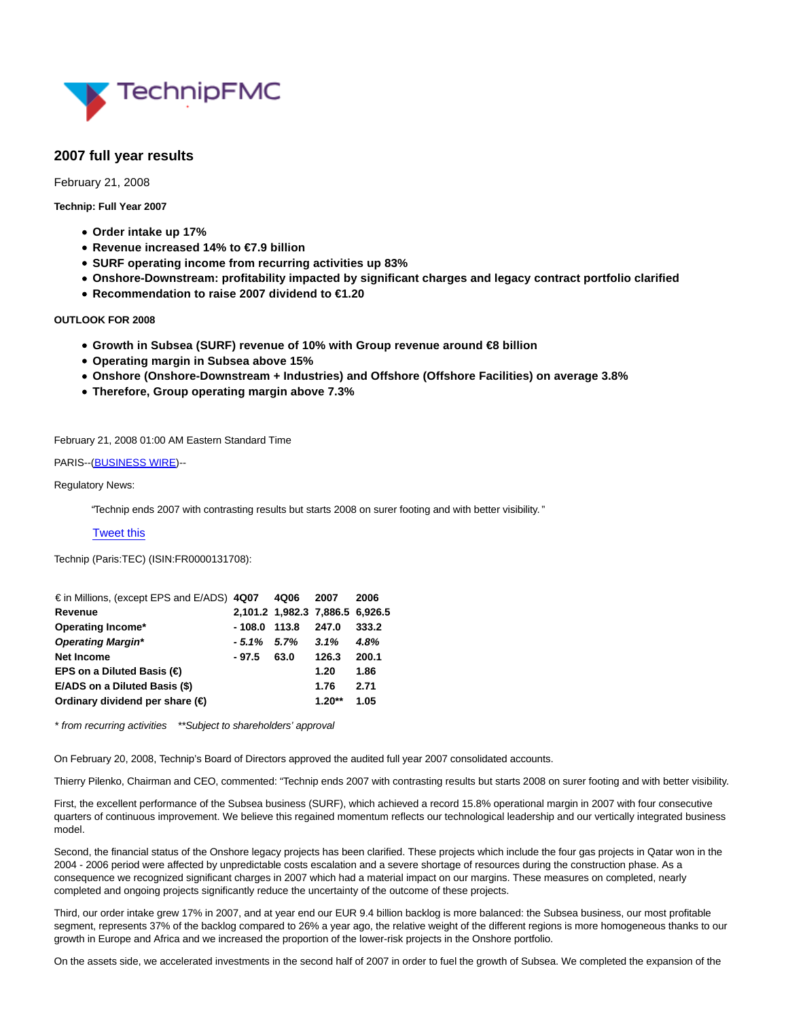

# **2007 full year results**

February 21, 2008

**Technip: Full Year 2007**

- **Order intake up 17%**
- **Revenue increased 14% to €7.9 billion**
- **SURF operating income from recurring activities up 83%**
- **Onshore-Downstream: profitability impacted by significant charges and legacy contract portfolio clarified**
- **Recommendation to raise 2007 dividend to €1.20**

## **OUTLOOK FOR 2008**

- **Growth in Subsea (SURF) revenue of 10% with Group revenue around €8 billion**
- **Operating margin in Subsea above 15%**
- **Onshore (Onshore-Downstream + Industries) and Offshore (Offshore Facilities) on average 3.8%**
- **Therefore, Group operating margin above 7.3%**

February 21, 2008 01:00 AM Eastern Standard Time

PARIS--[\(BUSINESS WIRE\)-](https://www.businesswire.com/)-

Regulatory News:

"Technip ends 2007 with contrasting results but starts 2008 on surer footing and with better visibility. "

# [Tweet this](https://www.businesswire.com/news/home/20080220006524/en/Technip-Full-Year-2007#)

Technip (Paris:TEC) (ISIN:FR0000131708):

| $\epsilon$ in Millions, (except EPS and E/ADS) 4Q07 |         | 4Q06                            | 2007     | 2006  |
|-----------------------------------------------------|---------|---------------------------------|----------|-------|
| Revenue                                             |         | 2,101.2 1,982.3 7,886.5 6,926.5 |          |       |
| Operating Income*                                   | - 108.0 | 113.8                           | 247.0    | 333.2 |
| <b>Operating Margin*</b>                            | - 5.1%  | - 5.7%                          | 3.1%     | 4.8%  |
| <b>Net Income</b>                                   | - 97.5  | 63.0                            | 126.3    | 200.1 |
| EPS on a Diluted Basis $(€)$                        |         |                                 | 1.20     | 1.86  |
| E/ADS on a Diluted Basis (\$)                       |         |                                 | 1.76     | 2.71  |
| Ordinary dividend per share $(\epsilon)$            |         |                                 | $1.20**$ | 1.05  |

\* from recurring activities \*\*Subject to shareholders' approval

On February 20, 2008, Technip's Board of Directors approved the audited full year 2007 consolidated accounts.

Thierry Pilenko, Chairman and CEO, commented: "Technip ends 2007 with contrasting results but starts 2008 on surer footing and with better visibility.

First, the excellent performance of the Subsea business (SURF), which achieved a record 15.8% operational margin in 2007 with four consecutive quarters of continuous improvement. We believe this regained momentum reflects our technological leadership and our vertically integrated business model.

Second, the financial status of the Onshore legacy projects has been clarified. These projects which include the four gas projects in Qatar won in the 2004 - 2006 period were affected by unpredictable costs escalation and a severe shortage of resources during the construction phase. As a consequence we recognized significant charges in 2007 which had a material impact on our margins. These measures on completed, nearly completed and ongoing projects significantly reduce the uncertainty of the outcome of these projects.

Third, our order intake grew 17% in 2007, and at year end our EUR 9.4 billion backlog is more balanced: the Subsea business, our most profitable segment, represents 37% of the backlog compared to 26% a year ago, the relative weight of the different regions is more homogeneous thanks to our growth in Europe and Africa and we increased the proportion of the lower-risk projects in the Onshore portfolio.

On the assets side, we accelerated investments in the second half of 2007 in order to fuel the growth of Subsea. We completed the expansion of the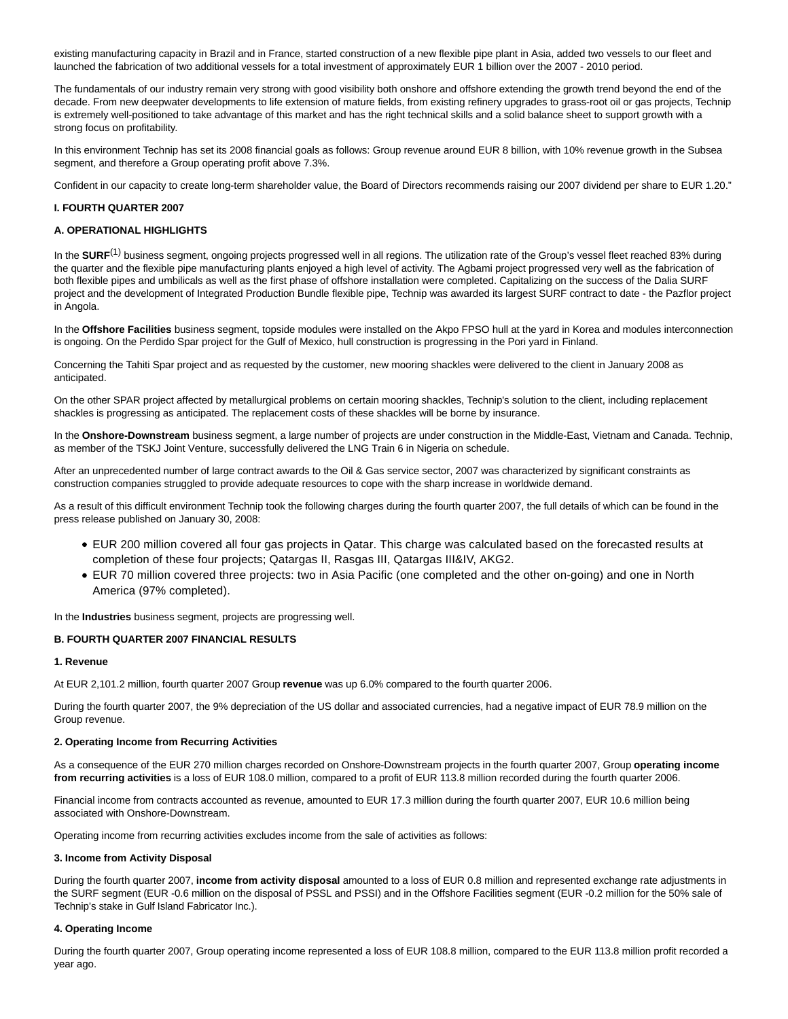existing manufacturing capacity in Brazil and in France, started construction of a new flexible pipe plant in Asia, added two vessels to our fleet and launched the fabrication of two additional vessels for a total investment of approximately EUR 1 billion over the 2007 - 2010 period.

The fundamentals of our industry remain very strong with good visibility both onshore and offshore extending the growth trend beyond the end of the decade. From new deepwater developments to life extension of mature fields, from existing refinery upgrades to grass-root oil or gas projects, Technip is extremely well-positioned to take advantage of this market and has the right technical skills and a solid balance sheet to support growth with a strong focus on profitability.

In this environment Technip has set its 2008 financial goals as follows: Group revenue around EUR 8 billion, with 10% revenue growth in the Subsea segment, and therefore a Group operating profit above 7.3%.

Confident in our capacity to create long-term shareholder value, the Board of Directors recommends raising our 2007 dividend per share to EUR 1.20."

#### **I. FOURTH QUARTER 2007**

#### **A. OPERATIONAL HIGHLIGHTS**

In the **SURF**<sup>(1)</sup> business segment, ongoing projects progressed well in all regions. The utilization rate of the Group's vessel fleet reached 83% during the quarter and the flexible pipe manufacturing plants enjoyed a high level of activity. The Agbami project progressed very well as the fabrication of both flexible pipes and umbilicals as well as the first phase of offshore installation were completed. Capitalizing on the success of the Dalia SURF project and the development of Integrated Production Bundle flexible pipe, Technip was awarded its largest SURF contract to date - the Pazflor project in Angola.

In the **Offshore Facilities** business segment, topside modules were installed on the Akpo FPSO hull at the yard in Korea and modules interconnection is ongoing. On the Perdido Spar project for the Gulf of Mexico, hull construction is progressing in the Pori yard in Finland.

Concerning the Tahiti Spar project and as requested by the customer, new mooring shackles were delivered to the client in January 2008 as anticipated.

On the other SPAR project affected by metallurgical problems on certain mooring shackles, Technip's solution to the client, including replacement shackles is progressing as anticipated. The replacement costs of these shackles will be borne by insurance.

In the **Onshore-Downstream** business segment, a large number of projects are under construction in the Middle-East, Vietnam and Canada. Technip, as member of the TSKJ Joint Venture, successfully delivered the LNG Train 6 in Nigeria on schedule.

After an unprecedented number of large contract awards to the Oil & Gas service sector, 2007 was characterized by significant constraints as construction companies struggled to provide adequate resources to cope with the sharp increase in worldwide demand.

As a result of this difficult environment Technip took the following charges during the fourth quarter 2007, the full details of which can be found in the press release published on January 30, 2008:

- EUR 200 million covered all four gas projects in Qatar. This charge was calculated based on the forecasted results at completion of these four projects; Qatargas II, Rasgas III, Qatargas III&IV, AKG2.
- EUR 70 million covered three projects: two in Asia Pacific (one completed and the other on-going) and one in North America (97% completed).

In the **Industries** business segment, projects are progressing well.

#### **B. FOURTH QUARTER 2007 FINANCIAL RESULTS**

#### **1. Revenue**

At EUR 2,101.2 million, fourth quarter 2007 Group **revenue** was up 6.0% compared to the fourth quarter 2006.

During the fourth quarter 2007, the 9% depreciation of the US dollar and associated currencies, had a negative impact of EUR 78.9 million on the Group revenue.

#### **2. Operating Income from Recurring Activities**

As a consequence of the EUR 270 million charges recorded on Onshore-Downstream projects in the fourth quarter 2007, Group **operating income from recurring activities** is a loss of EUR 108.0 million, compared to a profit of EUR 113.8 million recorded during the fourth quarter 2006.

Financial income from contracts accounted as revenue, amounted to EUR 17.3 million during the fourth quarter 2007, EUR 10.6 million being associated with Onshore-Downstream.

Operating income from recurring activities excludes income from the sale of activities as follows:

#### **3. Income from Activity Disposal**

During the fourth quarter 2007, **income from activity disposal** amounted to a loss of EUR 0.8 million and represented exchange rate adjustments in the SURF segment (EUR -0.6 million on the disposal of PSSL and PSSI) and in the Offshore Facilities segment (EUR -0.2 million for the 50% sale of Technip's stake in Gulf Island Fabricator Inc.).

#### **4. Operating Income**

During the fourth quarter 2007, Group operating income represented a loss of EUR 108.8 million, compared to the EUR 113.8 million profit recorded a year ago.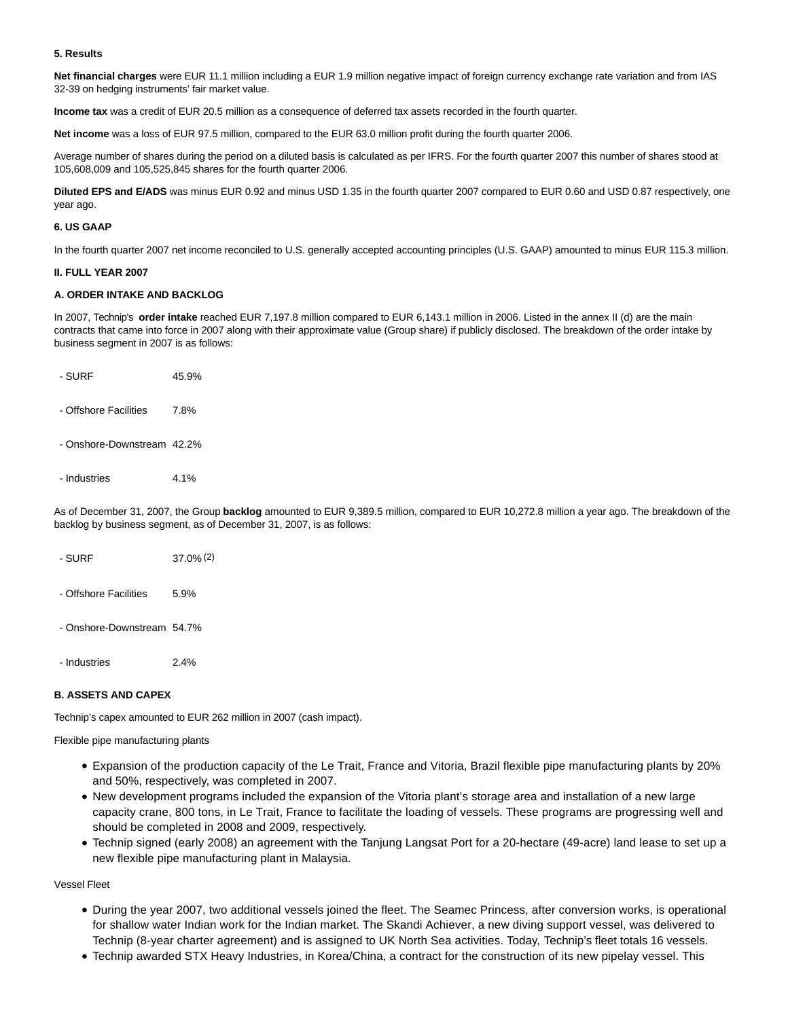## **5. Results**

**Net financial charges** were EUR 11.1 million including a EUR 1.9 million negative impact of foreign currency exchange rate variation and from IAS 32-39 on hedging instruments' fair market value.

**Income tax** was a credit of EUR 20.5 million as a consequence of deferred tax assets recorded in the fourth quarter.

**Net income** was a loss of EUR 97.5 million, compared to the EUR 63.0 million profit during the fourth quarter 2006.

Average number of shares during the period on a diluted basis is calculated as per IFRS. For the fourth quarter 2007 this number of shares stood at 105,608,009 and 105,525,845 shares for the fourth quarter 2006.

**Diluted EPS and E/ADS** was minus EUR 0.92 and minus USD 1.35 in the fourth quarter 2007 compared to EUR 0.60 and USD 0.87 respectively, one year ago.

#### **6. US GAAP**

In the fourth quarter 2007 net income reconciled to U.S. generally accepted accounting principles (U.S. GAAP) amounted to minus EUR 115.3 million.

#### **II. FULL YEAR 2007**

#### **A. ORDER INTAKE AND BACKLOG**

In 2007, Technip's **order intake** reached EUR 7,197.8 million compared to EUR 6,143.1 million in 2006. Listed in the annex II (d) are the main contracts that came into force in 2007 along with their approximate value (Group share) if publicly disclosed. The breakdown of the order intake by business segment in 2007 is as follows:

| - SURF                     | 45.9% |
|----------------------------|-------|
| - Offshore Facilities      | 7.8%  |
| - Onshore-Downstream 42.2% |       |
| - Industries               | 4.1%  |

As of December 31, 2007, the Group **backlog** amounted to EUR 9,389.5 million, compared to EUR 10,272.8 million a year ago. The breakdown of the backlog by business segment, as of December 31, 2007, is as follows:

| - SURF                     | $37.0\%$ (2) |
|----------------------------|--------------|
| - Offshore Facilities      | 5.9%         |
| - Onshore-Downstream 54.7% |              |
| - Industries               | 2.4%         |

## **B. ASSETS AND CAPEX**

Technip's capex amounted to EUR 262 million in 2007 (cash impact).

Flexible pipe manufacturing plants

- Expansion of the production capacity of the Le Trait, France and Vitoria, Brazil flexible pipe manufacturing plants by 20% and 50%, respectively, was completed in 2007.
- New development programs included the expansion of the Vitoria plant's storage area and installation of a new large capacity crane, 800 tons, in Le Trait, France to facilitate the loading of vessels. These programs are progressing well and should be completed in 2008 and 2009, respectively.
- Technip signed (early 2008) an agreement with the Tanjung Langsat Port for a 20-hectare (49-acre) land lease to set up a new flexible pipe manufacturing plant in Malaysia.

Vessel Fleet

- During the year 2007, two additional vessels joined the fleet. The Seamec Princess, after conversion works, is operational for shallow water Indian work for the Indian market. The Skandi Achiever, a new diving support vessel, was delivered to Technip (8-year charter agreement) and is assigned to UK North Sea activities. Today, Technip's fleet totals 16 vessels.
- Technip awarded STX Heavy Industries, in Korea/China, a contract for the construction of its new pipelay vessel. This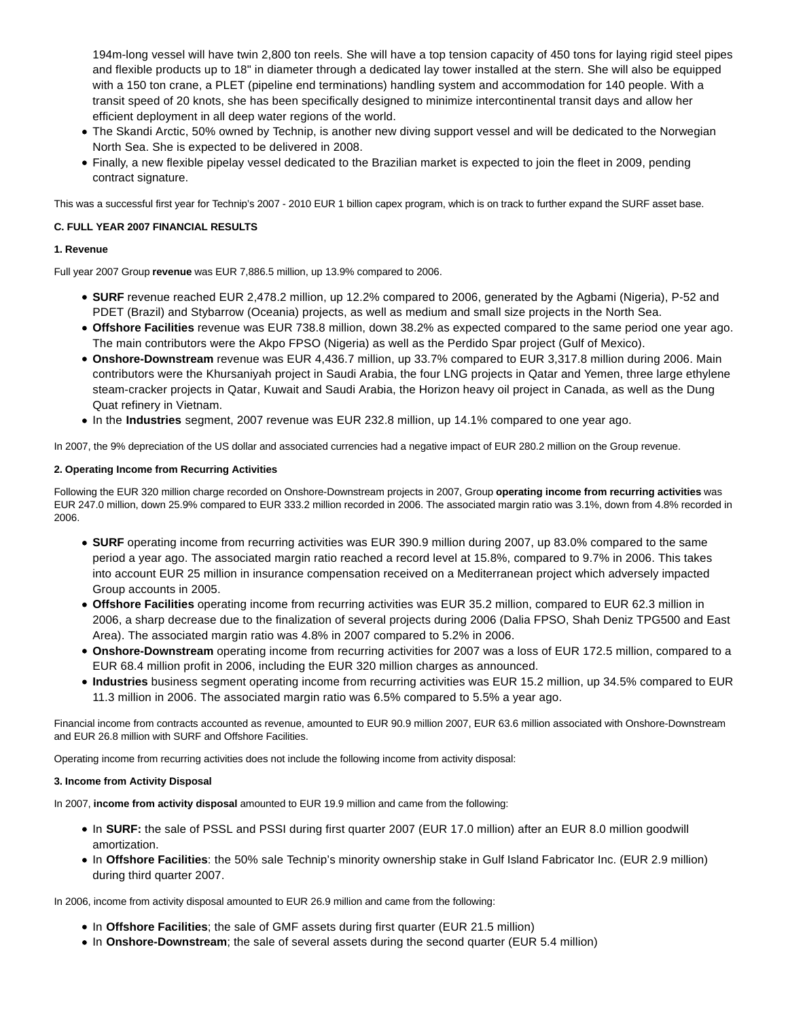194m-long vessel will have twin 2,800 ton reels. She will have a top tension capacity of 450 tons for laying rigid steel pipes and flexible products up to 18" in diameter through a dedicated lay tower installed at the stern. She will also be equipped with a 150 ton crane, a PLET (pipeline end terminations) handling system and accommodation for 140 people. With a transit speed of 20 knots, she has been specifically designed to minimize intercontinental transit days and allow her efficient deployment in all deep water regions of the world.

- The Skandi Arctic, 50% owned by Technip, is another new diving support vessel and will be dedicated to the Norwegian North Sea. She is expected to be delivered in 2008.
- Finally, a new flexible pipelay vessel dedicated to the Brazilian market is expected to join the fleet in 2009, pending contract signature.

This was a successful first year for Technip's 2007 - 2010 EUR 1 billion capex program, which is on track to further expand the SURF asset base.

# **C. FULL YEAR 2007 FINANCIAL RESULTS**

# **1. Revenue**

Full year 2007 Group **revenue** was EUR 7,886.5 million, up 13.9% compared to 2006.

- **SURF** revenue reached EUR 2,478.2 million, up 12.2% compared to 2006, generated by the Agbami (Nigeria), P-52 and PDET (Brazil) and Stybarrow (Oceania) projects, as well as medium and small size projects in the North Sea.
- **Offshore Facilities** revenue was EUR 738.8 million, down 38.2% as expected compared to the same period one year ago. The main contributors were the Akpo FPSO (Nigeria) as well as the Perdido Spar project (Gulf of Mexico).
- **Onshore-Downstream** revenue was EUR 4,436.7 million, up 33.7% compared to EUR 3,317.8 million during 2006. Main contributors were the Khursaniyah project in Saudi Arabia, the four LNG projects in Qatar and Yemen, three large ethylene steam-cracker projects in Qatar, Kuwait and Saudi Arabia, the Horizon heavy oil project in Canada, as well as the Dung Quat refinery in Vietnam.
- In the **Industries** segment, 2007 revenue was EUR 232.8 million, up 14.1% compared to one year ago.

In 2007, the 9% depreciation of the US dollar and associated currencies had a negative impact of EUR 280.2 million on the Group revenue.

# **2. Operating Income from Recurring Activities**

Following the EUR 320 million charge recorded on Onshore-Downstream projects in 2007, Group **operating income from recurring activities** was EUR 247.0 million, down 25.9% compared to EUR 333.2 million recorded in 2006. The associated margin ratio was 3.1%, down from 4.8% recorded in 2006.

- **SURF** operating income from recurring activities was EUR 390.9 million during 2007, up 83.0% compared to the same period a year ago. The associated margin ratio reached a record level at 15.8%, compared to 9.7% in 2006. This takes into account EUR 25 million in insurance compensation received on a Mediterranean project which adversely impacted Group accounts in 2005.
- **Offshore Facilities** operating income from recurring activities was EUR 35.2 million, compared to EUR 62.3 million in 2006, a sharp decrease due to the finalization of several projects during 2006 (Dalia FPSO, Shah Deniz TPG500 and East Area). The associated margin ratio was 4.8% in 2007 compared to 5.2% in 2006.
- **Onshore-Downstream** operating income from recurring activities for 2007 was a loss of EUR 172.5 million, compared to a EUR 68.4 million profit in 2006, including the EUR 320 million charges as announced.
- **Industries** business segment operating income from recurring activities was EUR 15.2 million, up 34.5% compared to EUR 11.3 million in 2006. The associated margin ratio was 6.5% compared to 5.5% a year ago.

Financial income from contracts accounted as revenue, amounted to EUR 90.9 million 2007, EUR 63.6 million associated with Onshore-Downstream and EUR 26.8 million with SURF and Offshore Facilities.

Operating income from recurring activities does not include the following income from activity disposal:

## **3. Income from Activity Disposal**

In 2007, **income from activity disposal** amounted to EUR 19.9 million and came from the following:

- In **SURF:** the sale of PSSL and PSSI during first quarter 2007 (EUR 17.0 million) after an EUR 8.0 million goodwill amortization.
- In **Offshore Facilities**: the 50% sale Technip's minority ownership stake in Gulf Island Fabricator Inc. (EUR 2.9 million) during third quarter 2007.

In 2006, income from activity disposal amounted to EUR 26.9 million and came from the following:

- In Offshore Facilities; the sale of GMF assets during first quarter (EUR 21.5 million)
- In **Onshore-Downstream**; the sale of several assets during the second quarter (EUR 5.4 million)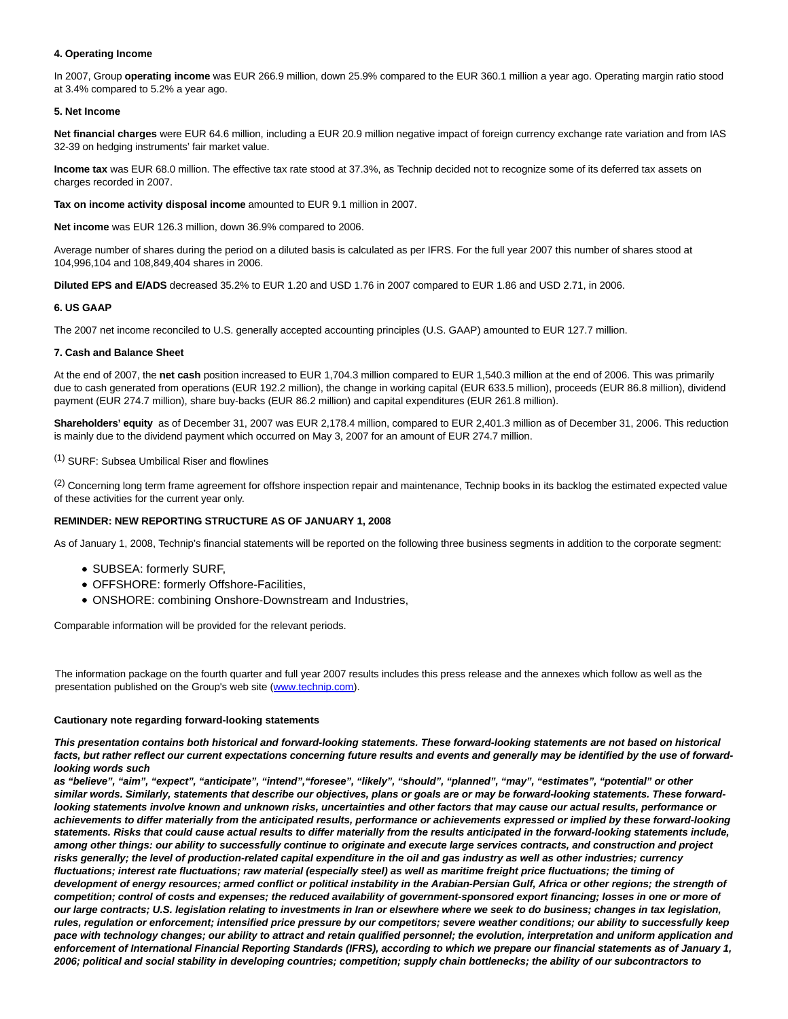## **4. Operating Income**

In 2007, Group **operating income** was EUR 266.9 million, down 25.9% compared to the EUR 360.1 million a year ago. Operating margin ratio stood at 3.4% compared to 5.2% a year ago.

#### **5. Net Income**

**Net financial charges** were EUR 64.6 million, including a EUR 20.9 million negative impact of foreign currency exchange rate variation and from IAS 32-39 on hedging instruments' fair market value.

**Income tax** was EUR 68.0 million. The effective tax rate stood at 37.3%, as Technip decided not to recognize some of its deferred tax assets on charges recorded in 2007.

**Tax on income activity disposal income** amounted to EUR 9.1 million in 2007.

**Net income** was EUR 126.3 million, down 36.9% compared to 2006.

Average number of shares during the period on a diluted basis is calculated as per IFRS. For the full year 2007 this number of shares stood at 104,996,104 and 108,849,404 shares in 2006.

**Diluted EPS and E/ADS** decreased 35.2% to EUR 1.20 and USD 1.76 in 2007 compared to EUR 1.86 and USD 2.71, in 2006.

## **6. US GAAP**

The 2007 net income reconciled to U.S. generally accepted accounting principles (U.S. GAAP) amounted to EUR 127.7 million.

#### **7. Cash and Balance Sheet**

At the end of 2007, the **net cash** position increased to EUR 1,704.3 million compared to EUR 1,540.3 million at the end of 2006. This was primarily due to cash generated from operations (EUR 192.2 million), the change in working capital (EUR 633.5 million), proceeds (EUR 86.8 million), dividend payment (EUR 274.7 million), share buy-backs (EUR 86.2 million) and capital expenditures (EUR 261.8 million).

**Shareholders' equity** as of December 31, 2007 was EUR 2,178.4 million, compared to EUR 2,401.3 million as of December 31, 2006. This reduction is mainly due to the dividend payment which occurred on May 3, 2007 for an amount of EUR 274.7 million.

## (1) SURF: Subsea Umbilical Riser and flowlines

 $<sup>(2)</sup>$  Concerning long term frame agreement for offshore inspection repair and maintenance, Technip books in its backlog the estimated expected value</sup> of these activities for the current year only.

## **REMINDER: NEW REPORTING STRUCTURE AS OF JANUARY 1, 2008**

As of January 1, 2008, Technip's financial statements will be reported on the following three business segments in addition to the corporate segment:

- SUBSEA: formerly SURF,
- OFFSHORE: formerly Offshore-Facilities,
- ONSHORE: combining Onshore-Downstream and Industries,

Comparable information will be provided for the relevant periods.

The information package on the fourth quarter and full year 2007 results includes this press release and the annexes which follow as well as the presentation published on the Group's web site [\(www.technip.com\).](http://www.technip.com/)

## **Cautionary note regarding forward-looking statements**

**This presentation contains both historical and forward-looking statements. These forward-looking statements are not based on historical facts, but rather reflect our current expectations concerning future results and events and generally may be identified by the use of forwardlooking words such**

**as "believe", "aim", "expect", "anticipate", "intend","foresee", "likely", "should", "planned", "may", "estimates", "potential" or other similar words. Similarly, statements that describe our objectives, plans or goals are or may be forward-looking statements. These forwardlooking statements involve known and unknown risks, uncertainties and other factors that may cause our actual results, performance or achievements to differ materially from the anticipated results, performance or achievements expressed or implied by these forward-looking statements. Risks that could cause actual results to differ materially from the results anticipated in the forward-looking statements include, among other things: our ability to successfully continue to originate and execute large services contracts, and construction and project risks generally; the level of production-related capital expenditure in the oil and gas industry as well as other industries; currency fluctuations; interest rate fluctuations; raw material (especially steel) as well as maritime freight price fluctuations; the timing of development of energy resources; armed conflict or political instability in the Arabian-Persian Gulf, Africa or other regions; the strength of competition; control of costs and expenses; the reduced availability of government-sponsored export financing; losses in one or more of our large contracts; U.S. legislation relating to investments in Iran or elsewhere where we seek to do business; changes in tax legislation, rules, regulation or enforcement; intensified price pressure by our competitors; severe weather conditions; our ability to successfully keep pace with technology changes; our ability to attract and retain qualified personnel; the evolution, interpretation and uniform application and enforcement of International Financial Reporting Standards (IFRS), according to which we prepare our financial statements as of January 1, 2006; political and social stability in developing countries; competition; supply chain bottlenecks; the ability of our subcontractors to**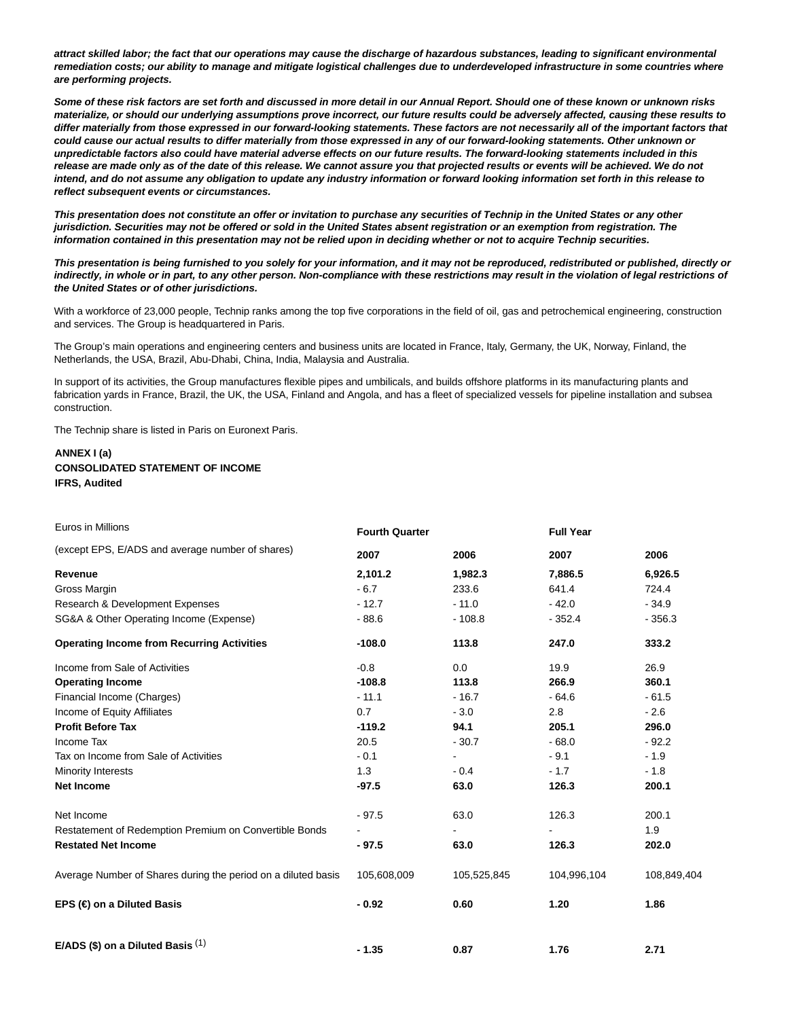**attract skilled labor; the fact that our operations may cause the discharge of hazardous substances, leading to significant environmental remediation costs; our ability to manage and mitigate logistical challenges due to underdeveloped infrastructure in some countries where are performing projects.**

**Some of these risk factors are set forth and discussed in more detail in our Annual Report. Should one of these known or unknown risks materialize, or should our underlying assumptions prove incorrect, our future results could be adversely affected, causing these results to differ materially from those expressed in our forward-looking statements. These factors are not necessarily all of the important factors that could cause our actual results to differ materially from those expressed in any of our forward-looking statements. Other unknown or unpredictable factors also could have material adverse effects on our future results. The forward-looking statements included in this release are made only as of the date of this release. We cannot assure you that projected results or events will be achieved. We do not intend, and do not assume any obligation to update any industry information or forward looking information set forth in this release to reflect subsequent events or circumstances.**

**This presentation does not constitute an offer or invitation to purchase any securities of Technip in the United States or any other jurisdiction. Securities may not be offered or sold in the United States absent registration or an exemption from registration. The information contained in this presentation may not be relied upon in deciding whether or not to acquire Technip securities.**

**This presentation is being furnished to you solely for your information, and it may not be reproduced, redistributed or published, directly or indirectly, in whole or in part, to any other person. Non-compliance with these restrictions may result in the violation of legal restrictions of the United States or of other jurisdictions.**

With a workforce of 23,000 people, Technip ranks among the top five corporations in the field of oil, gas and petrochemical engineering, construction and services. The Group is headquartered in Paris.

The Group's main operations and engineering centers and business units are located in France, Italy, Germany, the UK, Norway, Finland, the Netherlands, the USA, Brazil, Abu-Dhabi, China, India, Malaysia and Australia.

In support of its activities, the Group manufactures flexible pipes and umbilicals, and builds offshore platforms in its manufacturing plants and fabrication yards in France, Brazil, the UK, the USA, Finland and Angola, and has a fleet of specialized vessels for pipeline installation and subsea construction.

The Technip share is listed in Paris on Euronext Paris.

# **ANNEX I (a) CONSOLIDATED STATEMENT OF INCOME IFRS, Audited**

| Euros in Millions                                             | <b>Fourth Quarter</b> |                | <b>Full Year</b> |             |
|---------------------------------------------------------------|-----------------------|----------------|------------------|-------------|
| (except EPS, E/ADS and average number of shares)              | 2007                  | 2006           | 2007             | 2006        |
| Revenue                                                       | 2,101.2               | 1,982.3        | 7,886.5          | 6,926.5     |
| Gross Margin                                                  | $-6.7$                | 233.6          | 641.4            | 724.4       |
| Research & Development Expenses                               | $-12.7$               | $-11.0$        | $-42.0$          | $-34.9$     |
| SG&A & Other Operating Income (Expense)                       | $-88.6$               | $-108.8$       | $-352.4$         | $-356.3$    |
| <b>Operating Income from Recurring Activities</b>             | $-108.0$              | 113.8          | 247.0            | 333.2       |
| Income from Sale of Activities                                | $-0.8$                | 0.0            | 19.9             | 26.9        |
| <b>Operating Income</b>                                       | $-108.8$              | 113.8          | 266.9            | 360.1       |
| Financial Income (Charges)                                    | $-11.1$               | $-16.7$        | $-64.6$          | $-61.5$     |
| Income of Equity Affiliates                                   | 0.7                   | $-3.0$         | 2.8              | $-2.6$      |
| <b>Profit Before Tax</b>                                      | $-119.2$              | 94.1           | 205.1            | 296.0       |
| Income Tax                                                    | 20.5                  | $-30.7$        | $-68.0$          | $-92.2$     |
| Tax on Income from Sale of Activities                         | $-0.1$                | $\blacksquare$ | $-9.1$           | $-1.9$      |
| <b>Minority Interests</b>                                     | 1.3                   | $-0.4$         | $-1.7$           | $-1.8$      |
| <b>Net Income</b>                                             | $-97.5$               | 63.0           | 126.3            | 200.1       |
| Net Income                                                    | $-97.5$               | 63.0           | 126.3            | 200.1       |
| Restatement of Redemption Premium on Convertible Bonds        |                       |                |                  | 1.9         |
| <b>Restated Net Income</b>                                    | $-97.5$               | 63.0           | 126.3            | 202.0       |
| Average Number of Shares during the period on a diluted basis | 105,608,009           | 105,525,845    | 104,996,104      | 108.849.404 |
| EPS (€) on a Diluted Basis                                    | $-0.92$               | 0.60           | 1.20             | 1.86        |
| E/ADS (\$) on a Diluted Basis $(1)$                           | $-1.35$               | 0.87           | 1.76             | 2.71        |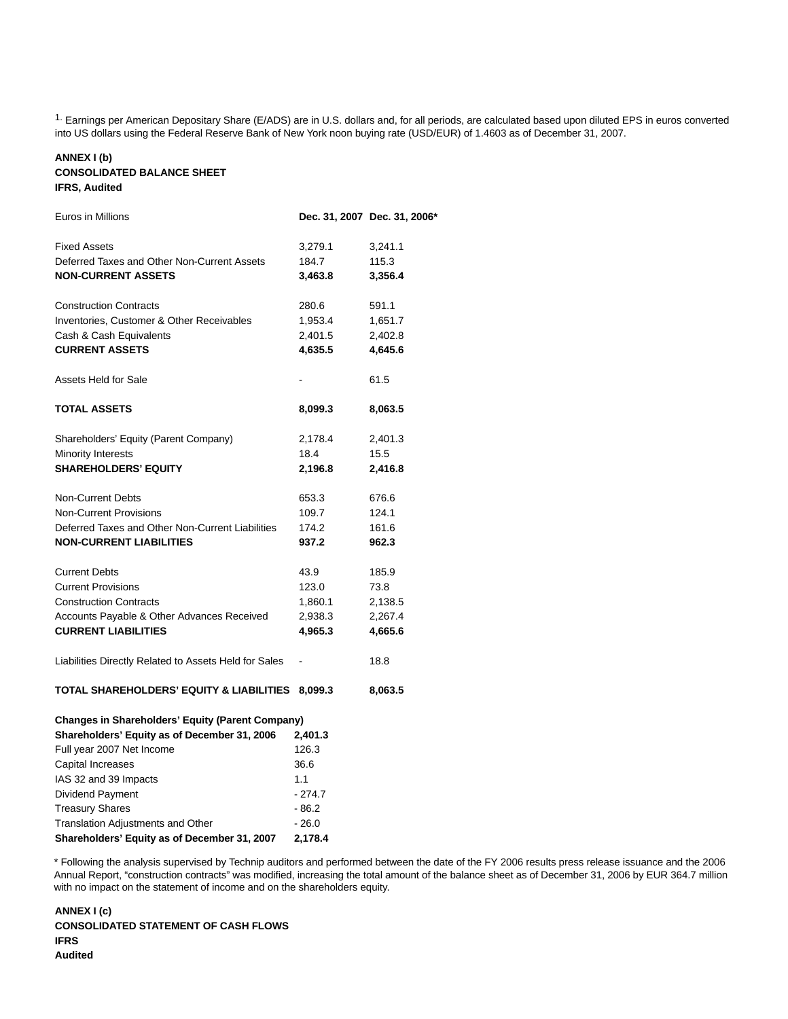1. Earnings per American Depositary Share (E/ADS) are in U.S. dollars and, for all periods, are calculated based upon diluted EPS in euros converted into US dollars using the Federal Reserve Bank of New York noon buying rate (USD/EUR) of 1.4603 as of December 31, 2007.

# **ANNEX I (b) CONSOLIDATED BALANCE SHEET IFRS, Audited**

| Euros in Millions                                       |                | Dec. 31, 2007 Dec. 31, 2006* |
|---------------------------------------------------------|----------------|------------------------------|
| <b>Fixed Assets</b>                                     | 3,279.1        | 3,241.1                      |
| Deferred Taxes and Other Non-Current Assets             | 184.7          | 115.3                        |
| <b>NON-CURRENT ASSETS</b>                               | 3,463.8        | 3,356.4                      |
| <b>Construction Contracts</b>                           | 280.6          | 591.1                        |
| Inventories, Customer & Other Receivables               | 1,953.4        | 1,651.7                      |
| Cash & Cash Equivalents                                 | 2,401.5        | 2,402.8                      |
| <b>CURRENT ASSETS</b>                                   | 4,635.5        | 4,645.6                      |
| <b>Assets Held for Sale</b>                             |                | 61.5                         |
| <b>TOTAL ASSETS</b>                                     | 8,099.3        | 8,063.5                      |
| Shareholders' Equity (Parent Company)                   | 2,178.4        | 2,401.3                      |
| <b>Minority Interests</b>                               | 18.4           | 15.5                         |
| <b>SHAREHOLDERS' EQUITY</b>                             | 2,196.8        | 2,416.8                      |
| <b>Non-Current Debts</b>                                | 653.3          | 676.6                        |
| <b>Non-Current Provisions</b>                           | 109.7          | 124.1                        |
| Deferred Taxes and Other Non-Current Liabilities        | 174.2          | 161.6                        |
| <b>NON-CURRENT LIABILITIES</b>                          | 937.2          | 962.3                        |
| <b>Current Debts</b>                                    | 43.9           | 185.9                        |
| <b>Current Provisions</b>                               | 123.0          | 73.8                         |
| <b>Construction Contracts</b>                           | 1,860.1        | 2,138.5                      |
| Accounts Payable & Other Advances Received              | 2,938.3        | 2,267.4                      |
| <b>CURRENT LIABILITIES</b>                              | 4,965.3        | 4,665.6                      |
| Liabilities Directly Related to Assets Held for Sales   | $\blacksquare$ | 18.8                         |
| TOTAL SHAREHOLDERS' EQUITY & LIABILITIES                | 8,099.3        | 8,063.5                      |
| <b>Changes in Shareholders' Equity (Parent Company)</b> |                |                              |
| Shareholders' Equity as of December 31, 2006            | 2,401.3        |                              |
| Full year 2007 Net Income                               | 126.3          |                              |
| Capital Increases                                       | 36.6           |                              |
| IAS 32 and 39 Impacts                                   | 1.1            |                              |
| Dividend Payment                                        | $-274.7$       |                              |
| <b>Treasury Shares</b>                                  | $-86.2$        |                              |
| Translation Adjustments and Other                       | $-26.0$        |                              |

**Shareholders' Equity as of December 31, 2007 2,178.4**

\* Following the analysis supervised by Technip auditors and performed between the date of the FY 2006 results press release issuance and the 2006 Annual Report, "construction contracts" was modified, increasing the total amount of the balance sheet as of December 31, 2006 by EUR 364.7 million with no impact on the statement of income and on the shareholders equity.

**ANNEX I (c) CONSOLIDATED STATEMENT OF CASH FLOWS IFRS Audited**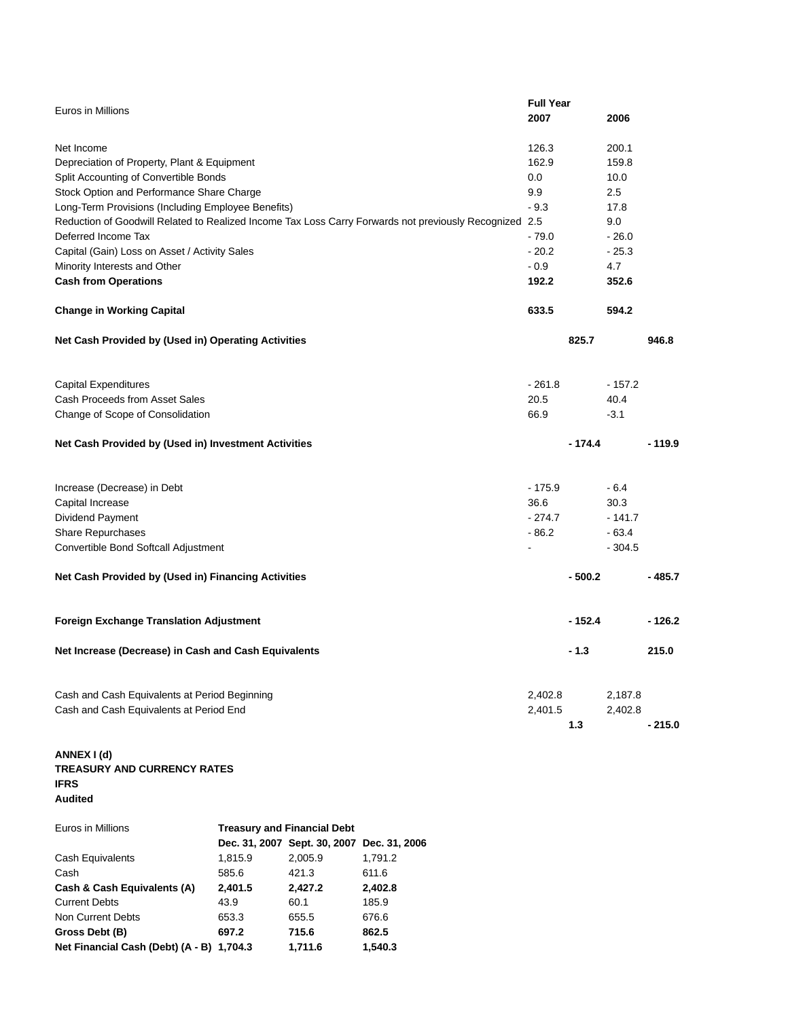| Euros in Millions                                                                                      | <b>Full Year</b> |          |          |          |
|--------------------------------------------------------------------------------------------------------|------------------|----------|----------|----------|
|                                                                                                        | 2007             |          | 2006     |          |
| Net Income                                                                                             | 126.3            |          | 200.1    |          |
| Depreciation of Property, Plant & Equipment                                                            | 162.9            |          | 159.8    |          |
| Split Accounting of Convertible Bonds                                                                  | 0.0              |          | 10.0     |          |
| Stock Option and Performance Share Charge                                                              | 9.9              |          | 2.5      |          |
| Long-Term Provisions (Including Employee Benefits)                                                     | $-9.3$           |          | 17.8     |          |
| Reduction of Goodwill Related to Realized Income Tax Loss Carry Forwards not previously Recognized 2.5 |                  |          | 9.0      |          |
| Deferred Income Tax                                                                                    | $-79.0$          |          | $-26.0$  |          |
| Capital (Gain) Loss on Asset / Activity Sales                                                          | $-20.2$          |          | $-25.3$  |          |
| Minority Interests and Other                                                                           | - 0.9            |          | 4.7      |          |
| <b>Cash from Operations</b>                                                                            | 192.2            |          | 352.6    |          |
| <b>Change in Working Capital</b>                                                                       | 633.5            |          | 594.2    |          |
|                                                                                                        |                  |          |          |          |
| Net Cash Provided by (Used in) Operating Activities                                                    |                  | 825.7    |          | 946.8    |
| <b>Capital Expenditures</b>                                                                            | $-261.8$         |          | $-157.2$ |          |
| Cash Proceeds from Asset Sales                                                                         | 20.5             |          | 40.4     |          |
| Change of Scope of Consolidation                                                                       | 66.9             |          | $-3.1$   |          |
| Net Cash Provided by (Used in) Investment Activities                                                   |                  | $-174.4$ |          | - 119.9  |
|                                                                                                        |                  |          |          |          |
| Increase (Decrease) in Debt                                                                            | $-175.9$         |          | $-6.4$   |          |
| Capital Increase                                                                                       | 36.6             |          | 30.3     |          |
| Dividend Payment                                                                                       | - 274.7          |          | $-141.7$ |          |
| Share Repurchases                                                                                      | $-86.2$          |          | $-63.4$  |          |
| Convertible Bond Softcall Adjustment                                                                   |                  |          | $-304.5$ |          |
| Net Cash Provided by (Used in) Financing Activities                                                    |                  | $-500.2$ |          | - 485.7  |
|                                                                                                        |                  |          |          |          |
| <b>Foreign Exchange Translation Adjustment</b>                                                         |                  | $-152.4$ |          | $-126.2$ |
| Net Increase (Decrease) in Cash and Cash Equivalents                                                   |                  | $-1.3$   |          | 215.0    |
|                                                                                                        |                  |          |          |          |
| Cash and Cash Equivalents at Period Beginning                                                          | 2,402.8          |          | 2,187.8  |          |
| Cash and Cash Equivalents at Period End                                                                | 2,401.5          |          | 2,402.8  |          |
|                                                                                                        |                  | 1.3      |          | $-215.0$ |
| ANNEX I (d)                                                                                            |                  |          |          |          |
| <b>TREASURY AND CURRENCY RATES</b><br><b>IFRS</b>                                                      |                  |          |          |          |
| <b>Audited</b>                                                                                         |                  |          |          |          |
| <b>Euros in Millions</b><br><b>Treasury and Financial Debt</b>                                         |                  |          |          |          |

| Euros in Millions                         | Treasury and Financial Debt |                                            |         |  |
|-------------------------------------------|-----------------------------|--------------------------------------------|---------|--|
|                                           |                             | Dec. 31, 2007 Sept. 30, 2007 Dec. 31, 2006 |         |  |
| <b>Cash Equivalents</b>                   | 1,815.9                     | 2,005.9                                    | 1,791.2 |  |
| Cash                                      | 585.6                       | 421.3                                      | 611.6   |  |
| Cash & Cash Equivalents (A)               | 2,401.5                     | 2,427.2                                    | 2,402.8 |  |
| <b>Current Debts</b>                      | 43.9                        | 60.1                                       | 185.9   |  |
| Non Current Debts                         | 653.3                       | 655.5                                      | 676.6   |  |
| Gross Debt (B)                            | 697.2                       | 715.6                                      | 862.5   |  |
| Net Financial Cash (Debt) (A - B) 1,704.3 |                             | 1,711.6                                    | 1,540.3 |  |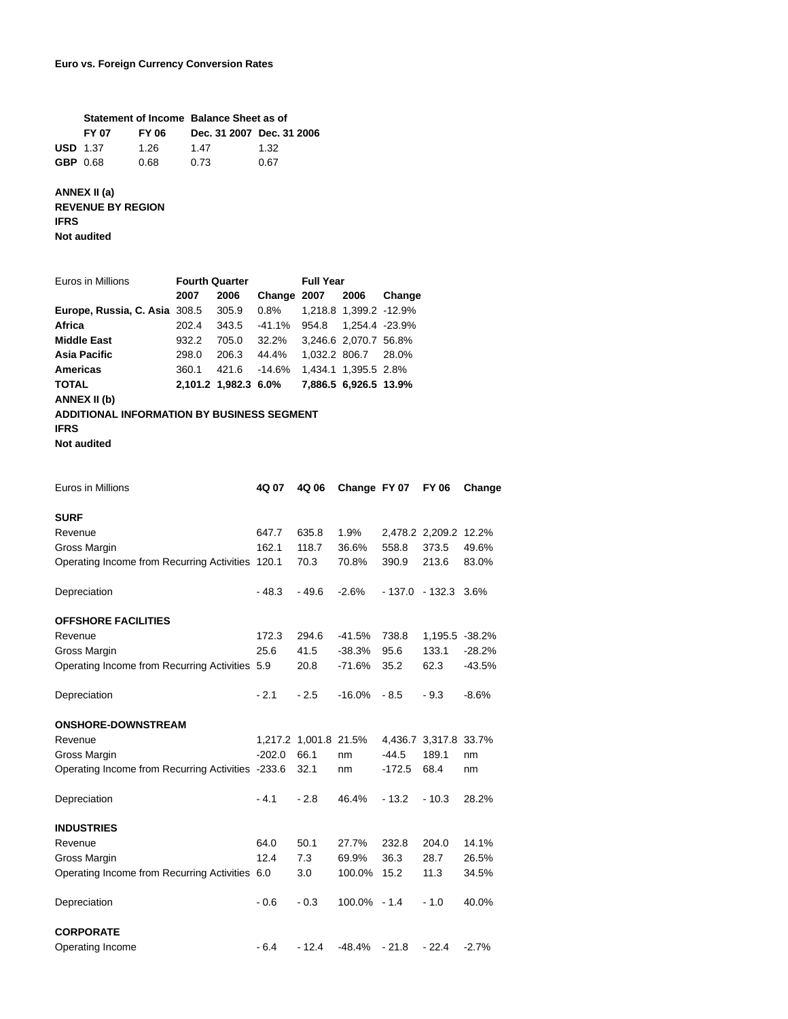|                 | Statement of Income Balance Sheet as of |       |                           |      |  |  |
|-----------------|-----------------------------------------|-------|---------------------------|------|--|--|
|                 | <b>FY 07</b>                            | FY 06 | Dec. 31 2007 Dec. 31 2006 |      |  |  |
|                 | <b>USD</b> 1.37                         | 1.26  | 1.47                      | 1.32 |  |  |
| <b>GBP</b> 0.68 |                                         | 0.68  | 0.73                      | 0.67 |  |  |

**ANNEX II (a) REVENUE BY REGION IFRS Not audited**

| Euros in Millions                                 | <b>Fourth Quarter</b> |                      |             | <b>Full Year</b> |                        |        |
|---------------------------------------------------|-----------------------|----------------------|-------------|------------------|------------------------|--------|
|                                                   | 2007                  | 2006                 | Change 2007 |                  | 2006                   | Change |
| Europe, Russia, C. Asia 308.5                     |                       | 305.9                | $0.8\%$     |                  | 1,218.8 1,399.2 -12.9% |        |
| Africa                                            | 202.4                 | 343.5                | $-41.1%$    | 954.8            | 1.254.4 -23.9%         |        |
| <b>Middle East</b>                                | 932.2                 | 705.0                | 32.2%       |                  | 3,246.6 2,070.7 56.8%  |        |
| Asia Pacific                                      | 298.0                 | 206.3                | 44.4%       |                  | 1,032.2 806.7          | 28.0%  |
| <b>Americas</b>                                   | 360.1                 | 421.6                | $-14.6%$    |                  | 1.434.1 1.395.5 2.8%   |        |
| TOTAL                                             |                       | 2.101.2 1.982.3 6.0% |             |                  | 7,886.5 6,926.5 13.9%  |        |
| ANNEX II (b)                                      |                       |                      |             |                  |                        |        |
| <b>ADDITIONAL INFORMATION BY BUSINESS SEGMENT</b> |                       |                      |             |                  |                        |        |
| <b>IFRS</b>                                       |                       |                      |             |                  |                        |        |
| <b>Not audited</b>                                |                       |                      |             |                  |                        |        |

| Euros in Millions                                 | 4Q 07    | 4Q 06                 | Change FY 07 |          | <b>FY 06</b>          | Change   |
|---------------------------------------------------|----------|-----------------------|--------------|----------|-----------------------|----------|
| <b>SURF</b>                                       |          |                       |              |          |                       |          |
| Revenue                                           | 647.7    | 635.8                 | 1.9%         |          | 2,478.2 2,209.2 12.2% |          |
| Gross Margin                                      | 162.1    | 118.7                 | 36.6%        | 558.8    | 373.5                 | 49.6%    |
| Operating Income from Recurring Activities        | 120.1    | 70.3                  | 70.8%        | 390.9    | 213.6                 | 83.0%    |
| Depreciation                                      | $-48.3$  | $-49.6$               | $-2.6%$      |          | $-137.0 - 132.3$      | 3.6%     |
| <b>OFFSHORE FACILITIES</b>                        |          |                       |              |          |                       |          |
| Revenue                                           | 172.3    | 294.6                 | $-41.5%$     | 738.8    | 1,195.5 -38.2%        |          |
| Gross Margin                                      | 25.6     | 41.5                  | $-38.3%$     | 95.6     | 133.1                 | $-28.2%$ |
| Operating Income from Recurring Activities 5.9    |          | 20.8                  | $-71.6%$     | 35.2     | 62.3                  | $-43.5%$ |
| Depreciation                                      | $-2.1$   | $-2.5$                | $-16.0%$     | $-8.5$   | $-9.3$                | $-8.6%$  |
| <b>ONSHORE-DOWNSTREAM</b>                         |          |                       |              |          |                       |          |
| Revenue                                           |          | 1,217.2 1,001.8 21.5% |              | 4,436.7  | 3,317.8 33.7%         |          |
| Gross Margin                                      | $-202.0$ | 66.1                  | nm           | $-44.5$  | 189.1                 | nm       |
| Operating Income from Recurring Activities -233.6 |          | 32.1                  | nm           | $-172.5$ | 68.4                  | nm       |
| Depreciation                                      | $-4.1$   | $-2.8$                | 46.4%        | $-13.2$  | $-10.3$               | 28.2%    |
| <b>INDUSTRIES</b>                                 |          |                       |              |          |                       |          |
| Revenue                                           | 64.0     | 50.1                  | 27.7%        | 232.8    | 204.0                 | 14.1%    |
| Gross Margin                                      | 12.4     | 7.3                   | 69.9%        | 36.3     | 28.7                  | 26.5%    |
| Operating Income from Recurring Activities 6.0    |          | 3.0                   | 100.0%       | 15.2     | 11.3                  | 34.5%    |
| Depreciation                                      | $-0.6$   | $-0.3$                | 100.0%       | $-1.4$   | $-1.0$                | 40.0%    |
| <b>CORPORATE</b>                                  |          |                       |              |          |                       |          |
| Operating Income                                  | $-6.4$   | $-12.4$               | $-48.4%$     | $-21.8$  | $-22.4$               | $-2.7%$  |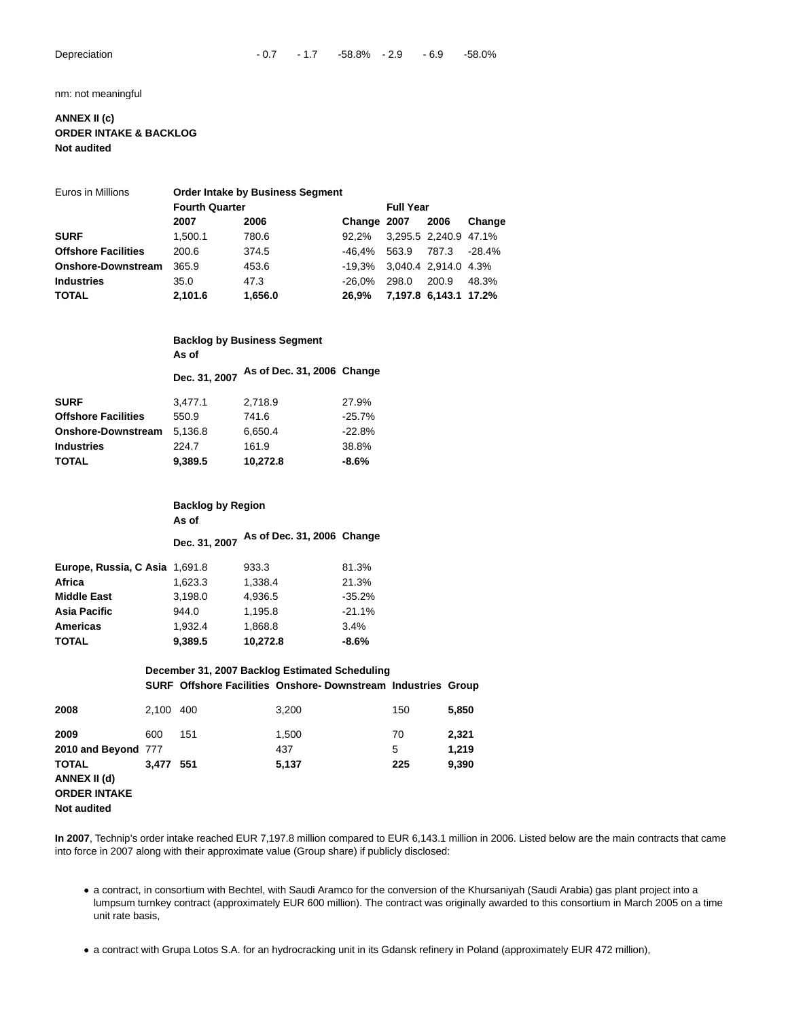nm: not meaningful

## **ANNEX II (c) ORDER INTAKE & BACKLOG Not audited**

| Euros in Millions          | <b>Order Intake by Business Segment</b> |         |             |                       |       |          |  |
|----------------------------|-----------------------------------------|---------|-------------|-----------------------|-------|----------|--|
|                            | <b>Fourth Quarter</b>                   |         |             | <b>Full Year</b>      |       |          |  |
|                            | 2007                                    | 2006    | Change 2007 |                       | 2006  | Change   |  |
| <b>SURF</b>                | 1.500.1                                 | 780.6   | $92.2\%$    | 3,295.5 2,240.9 47.1% |       |          |  |
| <b>Offshore Facilities</b> | 200.6                                   | 374.5   | -46.4%      | 563.9                 | 787.3 | $-28.4%$ |  |
| <b>Onshore-Downstream</b>  | 365.9                                   | 453.6   | -19.3%      | 3,040.4 2,914.0 4.3%  |       |          |  |
| <b>Industries</b>          | 35.0                                    | 47.3    | -26.0%      | 298.0                 | 200.9 | 48.3%    |  |
| <b>TOTAL</b>               | 2,101.6                                 | 1,656.0 | 26.9%       | 7,197.8 6,143.1 17.2% |       |          |  |

|               | <b>Backlog by Business Segment</b> |  |
|---------------|------------------------------------|--|
| As of         |                                    |  |
| Dec. 31, 2007 | As of Dec. 31, 2006 Change         |  |

| <b>SURF</b>                | 3.477.1 | 2.718.9  | 27.9%    |
|----------------------------|---------|----------|----------|
| <b>Offshore Facilities</b> | 550.9   | 741.6    | $-25.7%$ |
| <b>Onshore-Downstream</b>  | 5.136.8 | 6.650.4  | $-22.8%$ |
| <b>Industries</b>          | 224.7   | 161.9    | 38.8%    |
| <b>TOTAL</b>               | 9.389.5 | 10.272.8 | $-8.6%$  |

## **Backlog by Region**

**As of**

# **Dec. 31, 2007 As of Dec. 31, 2006 Change**

| Europe, Russia, C Asia 1,691.8 |         | 933.3    | 81.3%    |
|--------------------------------|---------|----------|----------|
| Africa                         | 1,623.3 | 1.338.4  | 21.3%    |
| <b>Middle East</b>             | 3.198.0 | 4.936.5  | $-35.2%$ |
| <b>Asia Pacific</b>            | 944.0   | 1.195.8  | $-21.1%$ |
| <b>Americas</b>                | 1.932.4 | 1.868.8  | 3.4%     |
| <b>TOTAL</b>                   | 9,389.5 | 10,272.8 | $-8.6\%$ |

# **December 31, 2007 Backlog Estimated Scheduling SURF Offshore Facilities Onshore- Downstream Industries Group**

| 2008                | 2,100 400 |     | 3,200 | 150 | 5,850 |
|---------------------|-----------|-----|-------|-----|-------|
| 2009                | 600       | 151 | 1,500 | 70  | 2,321 |
| 2010 and Beyond 777 |           |     | 437   | 5   | 1,219 |
| <b>TOTAL</b>        | 3.477     | 551 | 5,137 | 225 | 9,390 |
| ANNEX II (d)        |           |     |       |     |       |
| <b>ORDER INTAKE</b> |           |     |       |     |       |
| Not audited         |           |     |       |     |       |

**Not audited**

**In 2007**, Technip's order intake reached EUR 7,197.8 million compared to EUR 6,143.1 million in 2006. Listed below are the main contracts that came into force in 2007 along with their approximate value (Group share) if publicly disclosed:

a contract, in consortium with Bechtel, with Saudi Aramco for the conversion of the Khursaniyah (Saudi Arabia) gas plant project into a lumpsum turnkey contract (approximately EUR 600 million). The contract was originally awarded to this consortium in March 2005 on a time unit rate basis,

a contract with Grupa Lotos S.A. for an hydrocracking unit in its Gdansk refinery in Poland (approximately EUR 472 million),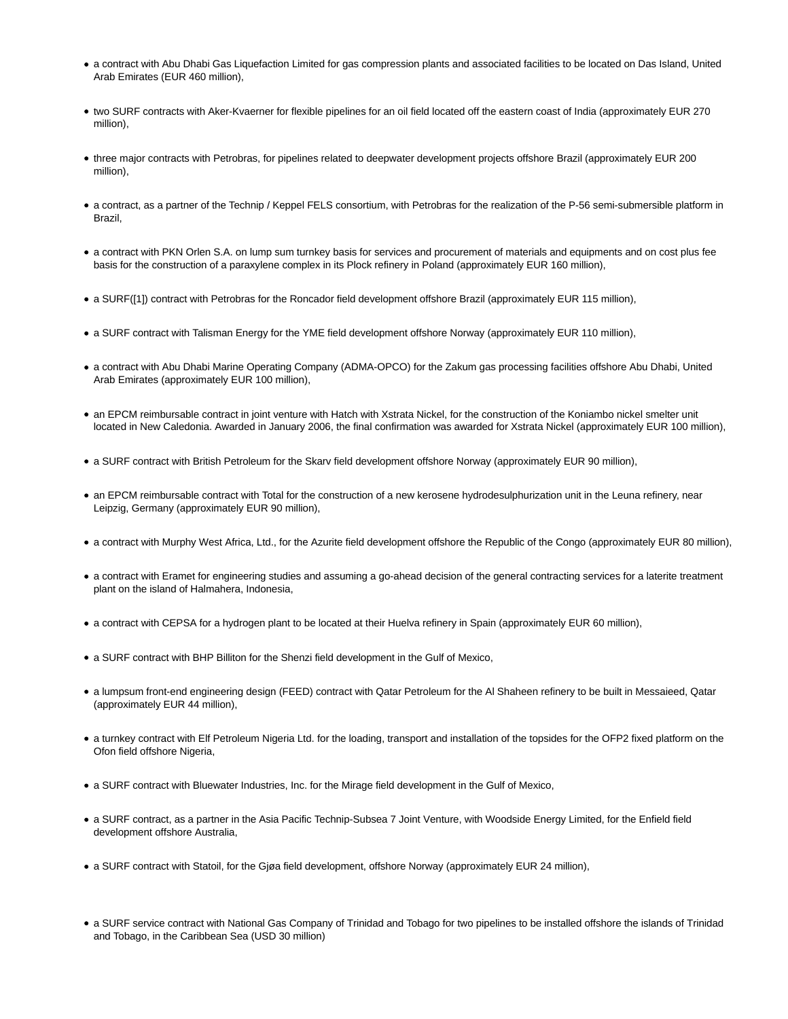- a contract with Abu Dhabi Gas Liquefaction Limited for gas compression plants and associated facilities to be located on Das Island, United Arab Emirates (EUR 460 million),
- two SURF contracts with Aker-Kvaerner for flexible pipelines for an oil field located off the eastern coast of India (approximately EUR 270) million),
- three major contracts with Petrobras, for pipelines related to deepwater development projects offshore Brazil (approximately EUR 200 million),
- a contract, as a partner of the Technip / Keppel FELS consortium, with Petrobras for the realization of the P-56 semi-submersible platform in Brazil,
- a contract with PKN Orlen S.A. on lump sum turnkey basis for services and procurement of materials and equipments and on cost plus fee basis for the construction of a paraxylene complex in its Plock refinery in Poland (approximately EUR 160 million),
- a SURF([1]) contract with Petrobras for the Roncador field development offshore Brazil (approximately EUR 115 million),
- a SURF contract with Talisman Energy for the YME field development offshore Norway (approximately EUR 110 million),
- a contract with Abu Dhabi Marine Operating Company (ADMA-OPCO) for the Zakum gas processing facilities offshore Abu Dhabi, United Arab Emirates (approximately EUR 100 million),
- an EPCM reimbursable contract in joint venture with Hatch with Xstrata Nickel, for the construction of the Koniambo nickel smelter unit located in New Caledonia. Awarded in January 2006, the final confirmation was awarded for Xstrata Nickel (approximately EUR 100 million),
- a SURF contract with British Petroleum for the Skarv field development offshore Norway (approximately EUR 90 million),
- an EPCM reimbursable contract with Total for the construction of a new kerosene hydrodesulphurization unit in the Leuna refinery, near Leipzig, Germany (approximately EUR 90 million),
- a contract with Murphy West Africa, Ltd., for the Azurite field development offshore the Republic of the Congo (approximately EUR 80 million),
- a contract with Eramet for engineering studies and assuming a go-ahead decision of the general contracting services for a laterite treatment plant on the island of Halmahera, Indonesia,
- a contract with CEPSA for a hydrogen plant to be located at their Huelva refinery in Spain (approximately EUR 60 million),
- a SURF contract with BHP Billiton for the Shenzi field development in the Gulf of Mexico,
- a lumpsum front-end engineering design (FEED) contract with Qatar Petroleum for the Al Shaheen refinery to be built in Messaieed, Qatar (approximately EUR 44 million),
- a turnkey contract with Elf Petroleum Nigeria Ltd. for the loading, transport and installation of the topsides for the OFP2 fixed platform on the Ofon field offshore Nigeria,
- a SURF contract with Bluewater Industries, Inc. for the Mirage field development in the Gulf of Mexico,
- a SURF contract, as a partner in the Asia Pacific Technip-Subsea 7 Joint Venture, with Woodside Energy Limited, for the Enfield field development offshore Australia,
- a SURF contract with Statoil, for the Gjøa field development, offshore Norway (approximately EUR 24 million),
- a SURF service contract with National Gas Company of Trinidad and Tobago for two pipelines to be installed offshore the islands of Trinidad and Tobago, in the Caribbean Sea (USD 30 million)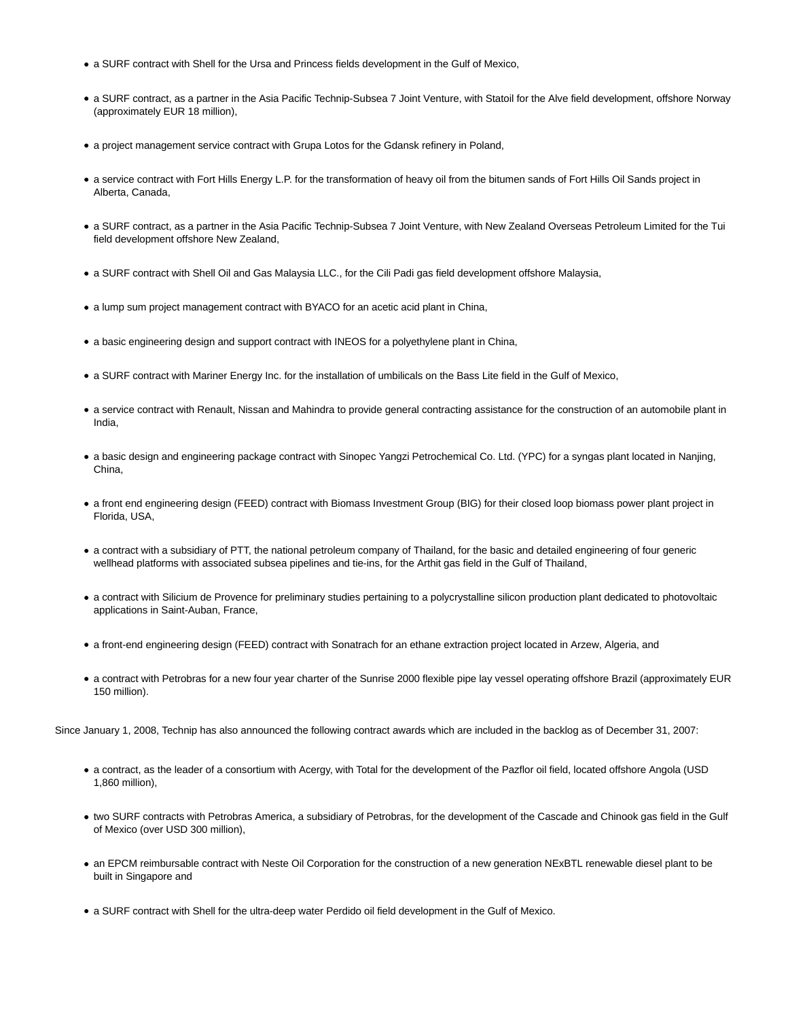- a SURF contract with Shell for the Ursa and Princess fields development in the Gulf of Mexico,
- a SURF contract, as a partner in the Asia Pacific Technip-Subsea 7 Joint Venture, with Statoil for the Alve field development, offshore Norway (approximately EUR 18 million),
- a project management service contract with Grupa Lotos for the Gdansk refinery in Poland,
- a service contract with Fort Hills Energy L.P. for the transformation of heavy oil from the bitumen sands of Fort Hills Oil Sands project in Alberta, Canada,
- a SURF contract, as a partner in the Asia Pacific Technip-Subsea 7 Joint Venture, with New Zealand Overseas Petroleum Limited for the Tui field development offshore New Zealand,
- a SURF contract with Shell Oil and Gas Malaysia LLC., for the Cili Padi gas field development offshore Malaysia,
- a lump sum project management contract with BYACO for an acetic acid plant in China,
- a basic engineering design and support contract with INEOS for a polyethylene plant in China,
- a SURF contract with Mariner Energy Inc. for the installation of umbilicals on the Bass Lite field in the Gulf of Mexico,
- a service contract with Renault, Nissan and Mahindra to provide general contracting assistance for the construction of an automobile plant in India,
- a basic design and engineering package contract with Sinopec Yangzi Petrochemical Co. Ltd. (YPC) for a syngas plant located in Nanjing, China,
- a front end engineering design (FEED) contract with Biomass Investment Group (BIG) for their closed loop biomass power plant project in Florida, USA,
- a contract with a subsidiary of PTT, the national petroleum company of Thailand, for the basic and detailed engineering of four generic wellhead platforms with associated subsea pipelines and tie-ins, for the Arthit gas field in the Gulf of Thailand,
- a contract with Silicium de Provence for preliminary studies pertaining to a polycrystalline silicon production plant dedicated to photovoltaic applications in Saint-Auban, France,
- a front-end engineering design (FEED) contract with Sonatrach for an ethane extraction project located in Arzew, Algeria, and
- a contract with Petrobras for a new four year charter of the Sunrise 2000 flexible pipe lay vessel operating offshore Brazil (approximately EUR 150 million).

Since January 1, 2008, Technip has also announced the following contract awards which are included in the backlog as of December 31, 2007:

- a contract, as the leader of a consortium with Acergy, with Total for the development of the Pazflor oil field, located offshore Angola (USD 1,860 million),
- two SURF contracts with Petrobras America, a subsidiary of Petrobras, for the development of the Cascade and Chinook gas field in the Gulf of Mexico (over USD 300 million),
- an EPCM reimbursable contract with Neste Oil Corporation for the construction of a new generation NExBTL renewable diesel plant to be built in Singapore and
- a SURF contract with Shell for the ultra-deep water Perdido oil field development in the Gulf of Mexico.